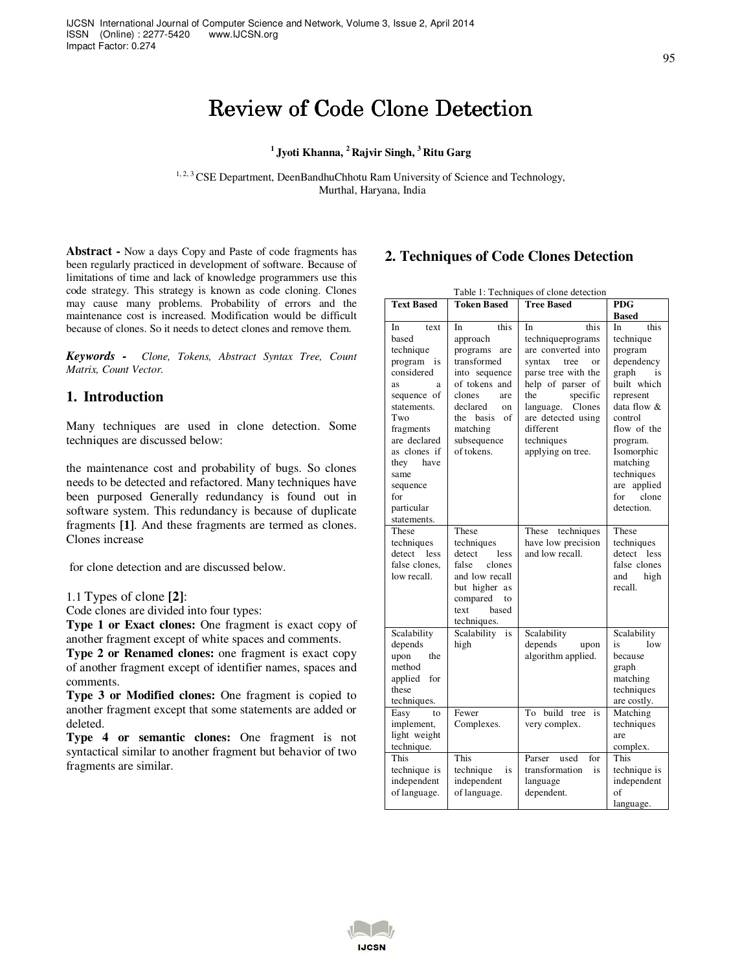# Review of Code Clone Detection

## **<sup>1</sup>Jyoti Khanna, <sup>2</sup>Rajvir Singh, <sup>3</sup>Ritu Garg**

<sup>1, 2, 3</sup> CSE Department, DeenBandhuChhotu Ram University of Science and Technology, Murthal, Haryana, India

**Abstract -** Now a days Copy and Paste of code fragments has been regularly practiced in development of software. Because of limitations of time and lack of knowledge programmers use this code strategy. This strategy is known as code cloning. Clones may cause many problems. Probability of errors and the maintenance cost is increased. Modification would be difficult because of clones. So it needs to detect clones and remove them.

*Keywords - Clone, Tokens, Abstract Syntax Tree, Count Matrix, Count Vector.* 

### **1. Introduction**

Many techniques are used in clone detection. Some techniques are discussed below:

the maintenance cost and probability of bugs. So clones needs to be detected and refactored. Many techniques have been purposed Generally redundancy is found out in software system. This redundancy is because of duplicate fragments **[1]**. And these fragments are termed as clones. Clones increase

for clone detection and are discussed below.

1.1 Types of clone **[2]**:

Code clones are divided into four types:

**Type 1 or Exact clones:** One fragment is exact copy of another fragment except of white spaces and comments.

**Type 2 or Renamed clones:** one fragment is exact copy of another fragment except of identifier names, spaces and comments.

**Type 3 or Modified clones:** One fragment is copied to another fragment except that some statements are added or deleted.

**Type 4 or semantic clones:** One fragment is not syntactical similar to another fragment but behavior of two fragments are similar.

## **2. Techniques of Code Clones Detection**

| <b>Tree Based</b><br><b>Text Based</b><br><b>Token Based</b><br><b>PDG</b><br><b>Based</b><br>this<br>this<br>this<br>In<br>text<br>In<br>In<br>In<br>based<br>techniqueprograms<br>technique<br>approach<br>are converted into<br>technique<br>programs<br>program<br>are<br>transformed<br>dependency<br>program<br>syntax<br>is<br>tree<br>or<br>considered<br>into sequence<br>parse tree with the<br>graph<br>is<br>built which<br>of tokens and<br>help of parser of<br>as<br>я<br>clones<br>the<br>specific<br>sequence of<br>are<br>represent<br>declared<br>language. Clones<br>data flow &<br>statements.<br><sub>on</sub><br>Two<br>the basis<br>of<br>are detected using<br>control<br>matching<br>different<br>flow of the<br>fragments<br>are declared<br>subsequence<br>techniques<br>program.<br>of tokens.<br>as clones if<br>applying on tree.<br>Isomorphic<br>they have<br>matching<br>techniques<br>same<br>applied<br>are<br>sequence<br>clone<br>for<br>for<br>detection.<br>particular<br>statements.<br>These<br>These<br>techniques<br>These<br>These<br>techniques<br>have low precision<br>techniques<br>techniques<br>and low recall.<br>detect less<br>detect<br>detect<br>less<br>less<br>false clones,<br>false<br>false clones<br>clones<br>low recall.<br>and low recall<br>high<br>and<br>but higher as<br>recall.<br>compared<br>to<br>text<br>based<br>techniques.<br>Scalability<br>Scalability<br>is<br>Scalability<br>Scalability<br>depends<br>high<br>depends<br>low<br>is<br>upon<br>algorithm applied.<br>upon<br>the<br>because<br>method<br>graph<br>applied<br>for<br>matching<br>these<br>techniques<br>techniques.<br>are costly.<br>Fewer<br>build tree<br>To<br>is<br>Matching<br>Easy<br>to<br>Complexes.<br>very complex.<br>techniques<br>implement,<br>light weight<br>are<br>technique.<br>complex.<br>This<br>This<br>This<br>Parser<br>used<br>for<br>technique<br>transformation<br>technique is<br>technique is<br>is<br>is<br>independent<br>independent<br>independent<br>language<br>of language.<br>dependent.<br>of language.<br>of<br>language. | Table 1: Techniques of clone detection |  |  |  |  |  |  |  |
|-------------------------------------------------------------------------------------------------------------------------------------------------------------------------------------------------------------------------------------------------------------------------------------------------------------------------------------------------------------------------------------------------------------------------------------------------------------------------------------------------------------------------------------------------------------------------------------------------------------------------------------------------------------------------------------------------------------------------------------------------------------------------------------------------------------------------------------------------------------------------------------------------------------------------------------------------------------------------------------------------------------------------------------------------------------------------------------------------------------------------------------------------------------------------------------------------------------------------------------------------------------------------------------------------------------------------------------------------------------------------------------------------------------------------------------------------------------------------------------------------------------------------------------------------------------------------------------------------------------------------------------------------------------------------------------------------------------------------------------------------------------------------------------------------------------------------------------------------------------------------------------------------------------------------------------------------------------------------------------------------------------------------------------------------------------------------------------------------------------------|----------------------------------------|--|--|--|--|--|--|--|
|                                                                                                                                                                                                                                                                                                                                                                                                                                                                                                                                                                                                                                                                                                                                                                                                                                                                                                                                                                                                                                                                                                                                                                                                                                                                                                                                                                                                                                                                                                                                                                                                                                                                                                                                                                                                                                                                                                                                                                                                                                                                                                                   |                                        |  |  |  |  |  |  |  |
|                                                                                                                                                                                                                                                                                                                                                                                                                                                                                                                                                                                                                                                                                                                                                                                                                                                                                                                                                                                                                                                                                                                                                                                                                                                                                                                                                                                                                                                                                                                                                                                                                                                                                                                                                                                                                                                                                                                                                                                                                                                                                                                   |                                        |  |  |  |  |  |  |  |
|                                                                                                                                                                                                                                                                                                                                                                                                                                                                                                                                                                                                                                                                                                                                                                                                                                                                                                                                                                                                                                                                                                                                                                                                                                                                                                                                                                                                                                                                                                                                                                                                                                                                                                                                                                                                                                                                                                                                                                                                                                                                                                                   |                                        |  |  |  |  |  |  |  |
|                                                                                                                                                                                                                                                                                                                                                                                                                                                                                                                                                                                                                                                                                                                                                                                                                                                                                                                                                                                                                                                                                                                                                                                                                                                                                                                                                                                                                                                                                                                                                                                                                                                                                                                                                                                                                                                                                                                                                                                                                                                                                                                   |                                        |  |  |  |  |  |  |  |
|                                                                                                                                                                                                                                                                                                                                                                                                                                                                                                                                                                                                                                                                                                                                                                                                                                                                                                                                                                                                                                                                                                                                                                                                                                                                                                                                                                                                                                                                                                                                                                                                                                                                                                                                                                                                                                                                                                                                                                                                                                                                                                                   |                                        |  |  |  |  |  |  |  |
|                                                                                                                                                                                                                                                                                                                                                                                                                                                                                                                                                                                                                                                                                                                                                                                                                                                                                                                                                                                                                                                                                                                                                                                                                                                                                                                                                                                                                                                                                                                                                                                                                                                                                                                                                                                                                                                                                                                                                                                                                                                                                                                   |                                        |  |  |  |  |  |  |  |
|                                                                                                                                                                                                                                                                                                                                                                                                                                                                                                                                                                                                                                                                                                                                                                                                                                                                                                                                                                                                                                                                                                                                                                                                                                                                                                                                                                                                                                                                                                                                                                                                                                                                                                                                                                                                                                                                                                                                                                                                                                                                                                                   |                                        |  |  |  |  |  |  |  |
|                                                                                                                                                                                                                                                                                                                                                                                                                                                                                                                                                                                                                                                                                                                                                                                                                                                                                                                                                                                                                                                                                                                                                                                                                                                                                                                                                                                                                                                                                                                                                                                                                                                                                                                                                                                                                                                                                                                                                                                                                                                                                                                   |                                        |  |  |  |  |  |  |  |
|                                                                                                                                                                                                                                                                                                                                                                                                                                                                                                                                                                                                                                                                                                                                                                                                                                                                                                                                                                                                                                                                                                                                                                                                                                                                                                                                                                                                                                                                                                                                                                                                                                                                                                                                                                                                                                                                                                                                                                                                                                                                                                                   |                                        |  |  |  |  |  |  |  |
|                                                                                                                                                                                                                                                                                                                                                                                                                                                                                                                                                                                                                                                                                                                                                                                                                                                                                                                                                                                                                                                                                                                                                                                                                                                                                                                                                                                                                                                                                                                                                                                                                                                                                                                                                                                                                                                                                                                                                                                                                                                                                                                   |                                        |  |  |  |  |  |  |  |
|                                                                                                                                                                                                                                                                                                                                                                                                                                                                                                                                                                                                                                                                                                                                                                                                                                                                                                                                                                                                                                                                                                                                                                                                                                                                                                                                                                                                                                                                                                                                                                                                                                                                                                                                                                                                                                                                                                                                                                                                                                                                                                                   |                                        |  |  |  |  |  |  |  |
|                                                                                                                                                                                                                                                                                                                                                                                                                                                                                                                                                                                                                                                                                                                                                                                                                                                                                                                                                                                                                                                                                                                                                                                                                                                                                                                                                                                                                                                                                                                                                                                                                                                                                                                                                                                                                                                                                                                                                                                                                                                                                                                   |                                        |  |  |  |  |  |  |  |
|                                                                                                                                                                                                                                                                                                                                                                                                                                                                                                                                                                                                                                                                                                                                                                                                                                                                                                                                                                                                                                                                                                                                                                                                                                                                                                                                                                                                                                                                                                                                                                                                                                                                                                                                                                                                                                                                                                                                                                                                                                                                                                                   |                                        |  |  |  |  |  |  |  |
|                                                                                                                                                                                                                                                                                                                                                                                                                                                                                                                                                                                                                                                                                                                                                                                                                                                                                                                                                                                                                                                                                                                                                                                                                                                                                                                                                                                                                                                                                                                                                                                                                                                                                                                                                                                                                                                                                                                                                                                                                                                                                                                   |                                        |  |  |  |  |  |  |  |
|                                                                                                                                                                                                                                                                                                                                                                                                                                                                                                                                                                                                                                                                                                                                                                                                                                                                                                                                                                                                                                                                                                                                                                                                                                                                                                                                                                                                                                                                                                                                                                                                                                                                                                                                                                                                                                                                                                                                                                                                                                                                                                                   |                                        |  |  |  |  |  |  |  |
|                                                                                                                                                                                                                                                                                                                                                                                                                                                                                                                                                                                                                                                                                                                                                                                                                                                                                                                                                                                                                                                                                                                                                                                                                                                                                                                                                                                                                                                                                                                                                                                                                                                                                                                                                                                                                                                                                                                                                                                                                                                                                                                   |                                        |  |  |  |  |  |  |  |
|                                                                                                                                                                                                                                                                                                                                                                                                                                                                                                                                                                                                                                                                                                                                                                                                                                                                                                                                                                                                                                                                                                                                                                                                                                                                                                                                                                                                                                                                                                                                                                                                                                                                                                                                                                                                                                                                                                                                                                                                                                                                                                                   |                                        |  |  |  |  |  |  |  |
|                                                                                                                                                                                                                                                                                                                                                                                                                                                                                                                                                                                                                                                                                                                                                                                                                                                                                                                                                                                                                                                                                                                                                                                                                                                                                                                                                                                                                                                                                                                                                                                                                                                                                                                                                                                                                                                                                                                                                                                                                                                                                                                   |                                        |  |  |  |  |  |  |  |
|                                                                                                                                                                                                                                                                                                                                                                                                                                                                                                                                                                                                                                                                                                                                                                                                                                                                                                                                                                                                                                                                                                                                                                                                                                                                                                                                                                                                                                                                                                                                                                                                                                                                                                                                                                                                                                                                                                                                                                                                                                                                                                                   |                                        |  |  |  |  |  |  |  |
|                                                                                                                                                                                                                                                                                                                                                                                                                                                                                                                                                                                                                                                                                                                                                                                                                                                                                                                                                                                                                                                                                                                                                                                                                                                                                                                                                                                                                                                                                                                                                                                                                                                                                                                                                                                                                                                                                                                                                                                                                                                                                                                   |                                        |  |  |  |  |  |  |  |
|                                                                                                                                                                                                                                                                                                                                                                                                                                                                                                                                                                                                                                                                                                                                                                                                                                                                                                                                                                                                                                                                                                                                                                                                                                                                                                                                                                                                                                                                                                                                                                                                                                                                                                                                                                                                                                                                                                                                                                                                                                                                                                                   |                                        |  |  |  |  |  |  |  |
|                                                                                                                                                                                                                                                                                                                                                                                                                                                                                                                                                                                                                                                                                                                                                                                                                                                                                                                                                                                                                                                                                                                                                                                                                                                                                                                                                                                                                                                                                                                                                                                                                                                                                                                                                                                                                                                                                                                                                                                                                                                                                                                   |                                        |  |  |  |  |  |  |  |
|                                                                                                                                                                                                                                                                                                                                                                                                                                                                                                                                                                                                                                                                                                                                                                                                                                                                                                                                                                                                                                                                                                                                                                                                                                                                                                                                                                                                                                                                                                                                                                                                                                                                                                                                                                                                                                                                                                                                                                                                                                                                                                                   |                                        |  |  |  |  |  |  |  |
|                                                                                                                                                                                                                                                                                                                                                                                                                                                                                                                                                                                                                                                                                                                                                                                                                                                                                                                                                                                                                                                                                                                                                                                                                                                                                                                                                                                                                                                                                                                                                                                                                                                                                                                                                                                                                                                                                                                                                                                                                                                                                                                   |                                        |  |  |  |  |  |  |  |
|                                                                                                                                                                                                                                                                                                                                                                                                                                                                                                                                                                                                                                                                                                                                                                                                                                                                                                                                                                                                                                                                                                                                                                                                                                                                                                                                                                                                                                                                                                                                                                                                                                                                                                                                                                                                                                                                                                                                                                                                                                                                                                                   |                                        |  |  |  |  |  |  |  |
|                                                                                                                                                                                                                                                                                                                                                                                                                                                                                                                                                                                                                                                                                                                                                                                                                                                                                                                                                                                                                                                                                                                                                                                                                                                                                                                                                                                                                                                                                                                                                                                                                                                                                                                                                                                                                                                                                                                                                                                                                                                                                                                   |                                        |  |  |  |  |  |  |  |
|                                                                                                                                                                                                                                                                                                                                                                                                                                                                                                                                                                                                                                                                                                                                                                                                                                                                                                                                                                                                                                                                                                                                                                                                                                                                                                                                                                                                                                                                                                                                                                                                                                                                                                                                                                                                                                                                                                                                                                                                                                                                                                                   |                                        |  |  |  |  |  |  |  |
|                                                                                                                                                                                                                                                                                                                                                                                                                                                                                                                                                                                                                                                                                                                                                                                                                                                                                                                                                                                                                                                                                                                                                                                                                                                                                                                                                                                                                                                                                                                                                                                                                                                                                                                                                                                                                                                                                                                                                                                                                                                                                                                   |                                        |  |  |  |  |  |  |  |
|                                                                                                                                                                                                                                                                                                                                                                                                                                                                                                                                                                                                                                                                                                                                                                                                                                                                                                                                                                                                                                                                                                                                                                                                                                                                                                                                                                                                                                                                                                                                                                                                                                                                                                                                                                                                                                                                                                                                                                                                                                                                                                                   |                                        |  |  |  |  |  |  |  |
|                                                                                                                                                                                                                                                                                                                                                                                                                                                                                                                                                                                                                                                                                                                                                                                                                                                                                                                                                                                                                                                                                                                                                                                                                                                                                                                                                                                                                                                                                                                                                                                                                                                                                                                                                                                                                                                                                                                                                                                                                                                                                                                   |                                        |  |  |  |  |  |  |  |
|                                                                                                                                                                                                                                                                                                                                                                                                                                                                                                                                                                                                                                                                                                                                                                                                                                                                                                                                                                                                                                                                                                                                                                                                                                                                                                                                                                                                                                                                                                                                                                                                                                                                                                                                                                                                                                                                                                                                                                                                                                                                                                                   |                                        |  |  |  |  |  |  |  |
|                                                                                                                                                                                                                                                                                                                                                                                                                                                                                                                                                                                                                                                                                                                                                                                                                                                                                                                                                                                                                                                                                                                                                                                                                                                                                                                                                                                                                                                                                                                                                                                                                                                                                                                                                                                                                                                                                                                                                                                                                                                                                                                   |                                        |  |  |  |  |  |  |  |
|                                                                                                                                                                                                                                                                                                                                                                                                                                                                                                                                                                                                                                                                                                                                                                                                                                                                                                                                                                                                                                                                                                                                                                                                                                                                                                                                                                                                                                                                                                                                                                                                                                                                                                                                                                                                                                                                                                                                                                                                                                                                                                                   |                                        |  |  |  |  |  |  |  |
|                                                                                                                                                                                                                                                                                                                                                                                                                                                                                                                                                                                                                                                                                                                                                                                                                                                                                                                                                                                                                                                                                                                                                                                                                                                                                                                                                                                                                                                                                                                                                                                                                                                                                                                                                                                                                                                                                                                                                                                                                                                                                                                   |                                        |  |  |  |  |  |  |  |
|                                                                                                                                                                                                                                                                                                                                                                                                                                                                                                                                                                                                                                                                                                                                                                                                                                                                                                                                                                                                                                                                                                                                                                                                                                                                                                                                                                                                                                                                                                                                                                                                                                                                                                                                                                                                                                                                                                                                                                                                                                                                                                                   |                                        |  |  |  |  |  |  |  |
|                                                                                                                                                                                                                                                                                                                                                                                                                                                                                                                                                                                                                                                                                                                                                                                                                                                                                                                                                                                                                                                                                                                                                                                                                                                                                                                                                                                                                                                                                                                                                                                                                                                                                                                                                                                                                                                                                                                                                                                                                                                                                                                   |                                        |  |  |  |  |  |  |  |
|                                                                                                                                                                                                                                                                                                                                                                                                                                                                                                                                                                                                                                                                                                                                                                                                                                                                                                                                                                                                                                                                                                                                                                                                                                                                                                                                                                                                                                                                                                                                                                                                                                                                                                                                                                                                                                                                                                                                                                                                                                                                                                                   |                                        |  |  |  |  |  |  |  |
|                                                                                                                                                                                                                                                                                                                                                                                                                                                                                                                                                                                                                                                                                                                                                                                                                                                                                                                                                                                                                                                                                                                                                                                                                                                                                                                                                                                                                                                                                                                                                                                                                                                                                                                                                                                                                                                                                                                                                                                                                                                                                                                   |                                        |  |  |  |  |  |  |  |
|                                                                                                                                                                                                                                                                                                                                                                                                                                                                                                                                                                                                                                                                                                                                                                                                                                                                                                                                                                                                                                                                                                                                                                                                                                                                                                                                                                                                                                                                                                                                                                                                                                                                                                                                                                                                                                                                                                                                                                                                                                                                                                                   |                                        |  |  |  |  |  |  |  |
|                                                                                                                                                                                                                                                                                                                                                                                                                                                                                                                                                                                                                                                                                                                                                                                                                                                                                                                                                                                                                                                                                                                                                                                                                                                                                                                                                                                                                                                                                                                                                                                                                                                                                                                                                                                                                                                                                                                                                                                                                                                                                                                   |                                        |  |  |  |  |  |  |  |
|                                                                                                                                                                                                                                                                                                                                                                                                                                                                                                                                                                                                                                                                                                                                                                                                                                                                                                                                                                                                                                                                                                                                                                                                                                                                                                                                                                                                                                                                                                                                                                                                                                                                                                                                                                                                                                                                                                                                                                                                                                                                                                                   |                                        |  |  |  |  |  |  |  |
|                                                                                                                                                                                                                                                                                                                                                                                                                                                                                                                                                                                                                                                                                                                                                                                                                                                                                                                                                                                                                                                                                                                                                                                                                                                                                                                                                                                                                                                                                                                                                                                                                                                                                                                                                                                                                                                                                                                                                                                                                                                                                                                   |                                        |  |  |  |  |  |  |  |
|                                                                                                                                                                                                                                                                                                                                                                                                                                                                                                                                                                                                                                                                                                                                                                                                                                                                                                                                                                                                                                                                                                                                                                                                                                                                                                                                                                                                                                                                                                                                                                                                                                                                                                                                                                                                                                                                                                                                                                                                                                                                                                                   |                                        |  |  |  |  |  |  |  |
|                                                                                                                                                                                                                                                                                                                                                                                                                                                                                                                                                                                                                                                                                                                                                                                                                                                                                                                                                                                                                                                                                                                                                                                                                                                                                                                                                                                                                                                                                                                                                                                                                                                                                                                                                                                                                                                                                                                                                                                                                                                                                                                   |                                        |  |  |  |  |  |  |  |

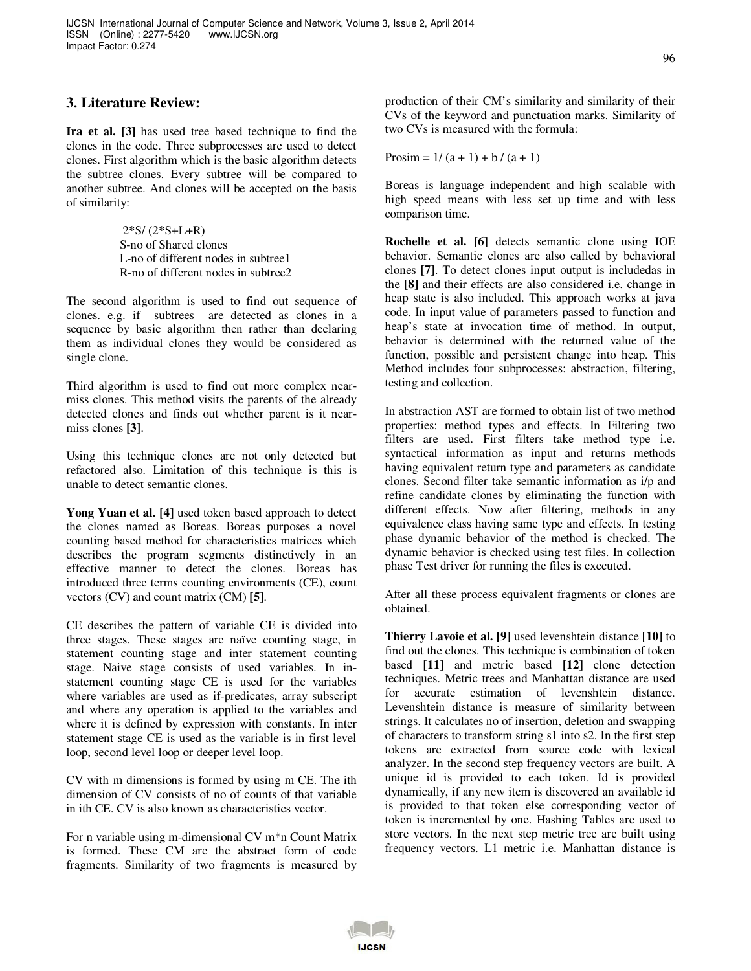## **3. Literature Review:**

**Ira et al. [3]** has used tree based technique to find the clones in the code. Three subprocesses are used to detect clones. First algorithm which is the basic algorithm detects the subtree clones. Every subtree will be compared to another subtree. And clones will be accepted on the basis of similarity:

> 2\*S/ (2\*S+L+R) S-no of Shared clones L-no of different nodes in subtree1 R-no of different nodes in subtree2

The second algorithm is used to find out sequence of clones. e.g. if subtrees are detected as clones in a sequence by basic algorithm then rather than declaring them as individual clones they would be considered as single clone.

Third algorithm is used to find out more complex nearmiss clones. This method visits the parents of the already detected clones and finds out whether parent is it nearmiss clones **[3]**.

Using this technique clones are not only detected but refactored also. Limitation of this technique is this is unable to detect semantic clones.

**Yong Yuan et al. [4]** used token based approach to detect the clones named as Boreas. Boreas purposes a novel counting based method for characteristics matrices which describes the program segments distinctively in an effective manner to detect the clones. Boreas has introduced three terms counting environments (CE), count vectors (CV) and count matrix (CM) **[5]**.

CE describes the pattern of variable CE is divided into three stages. These stages are naïve counting stage, in statement counting stage and inter statement counting stage. Naive stage consists of used variables. In instatement counting stage CE is used for the variables where variables are used as if-predicates, array subscript and where any operation is applied to the variables and where it is defined by expression with constants. In inter statement stage CE is used as the variable is in first level loop, second level loop or deeper level loop.

CV with m dimensions is formed by using m CE. The ith dimension of CV consists of no of counts of that variable in ith CE. CV is also known as characteristics vector.

For n variable using m-dimensional CV m\*n Count Matrix is formed. These CM are the abstract form of code fragments. Similarity of two fragments is measured by

production of their CM's similarity and similarity of their CVs of the keyword and punctuation marks. Similarity of two CVs is measured with the formula:

Prosim =  $1/(a + 1) + b/(a + 1)$ 

Boreas is language independent and high scalable with high speed means with less set up time and with less comparison time.

**Rochelle et al. [6]** detects semantic clone using IOE behavior. Semantic clones are also called by behavioral clones **[7]**. To detect clones input output is includedas in the **[8]** and their effects are also considered i.e. change in heap state is also included. This approach works at java code. In input value of parameters passed to function and heap's state at invocation time of method. In output, behavior is determined with the returned value of the function, possible and persistent change into heap. This Method includes four subprocesses: abstraction, filtering, testing and collection.

In abstraction AST are formed to obtain list of two method properties: method types and effects. In Filtering two filters are used. First filters take method type i.e. syntactical information as input and returns methods having equivalent return type and parameters as candidate clones. Second filter take semantic information as i/p and refine candidate clones by eliminating the function with different effects. Now after filtering, methods in any equivalence class having same type and effects. In testing phase dynamic behavior of the method is checked. The dynamic behavior is checked using test files. In collection phase Test driver for running the files is executed.

After all these process equivalent fragments or clones are obtained.

**Thierry Lavoie et al. [9]** used levenshtein distance **[10]** to find out the clones. This technique is combination of token based **[11]** and metric based **[12]** clone detection techniques. Metric trees and Manhattan distance are used for accurate estimation of levenshtein distance. Levenshtein distance is measure of similarity between strings. It calculates no of insertion, deletion and swapping of characters to transform string s1 into s2. In the first step tokens are extracted from source code with lexical analyzer. In the second step frequency vectors are built. A unique id is provided to each token. Id is provided dynamically, if any new item is discovered an available id is provided to that token else corresponding vector of token is incremented by one. Hashing Tables are used to store vectors. In the next step metric tree are built using frequency vectors. L1 metric i.e. Manhattan distance is

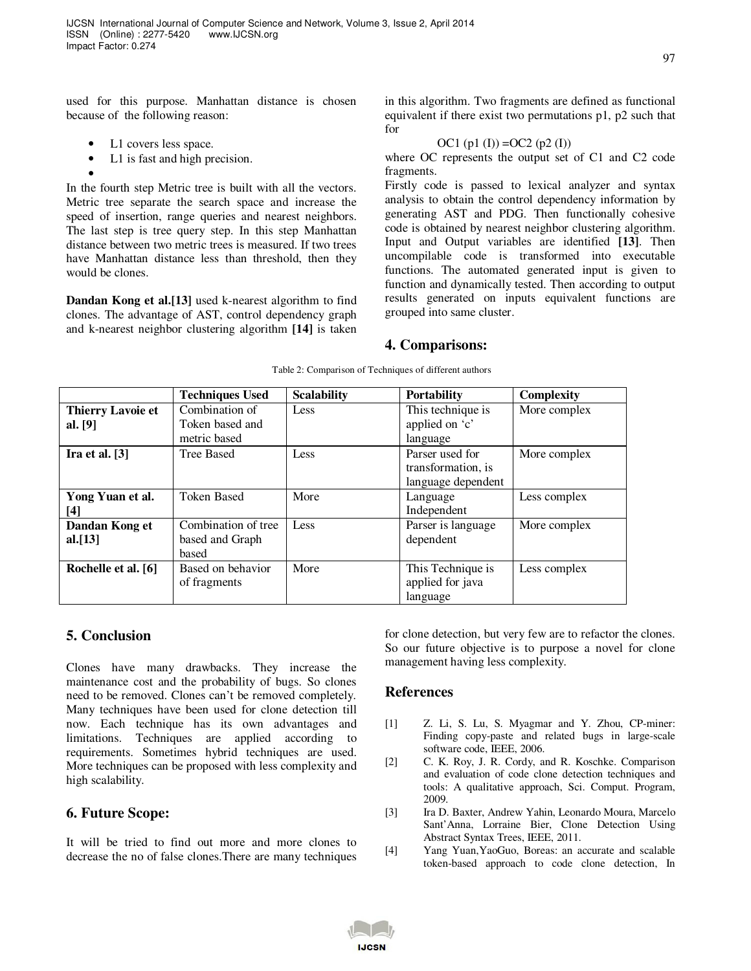used for this purpose. Manhattan distance is chosen because of the following reason:

- L1 covers less space.
- L1 is fast and high precision.

• In the fourth step Metric tree is built with all the vectors. Metric tree separate the search space and increase the speed of insertion, range queries and nearest neighbors. The last step is tree query step. In this step Manhattan distance between two metric trees is measured. If two trees have Manhattan distance less than threshold, then they would be clones.

**Dandan Kong et al.[13]** used k-nearest algorithm to find clones. The advantage of AST, control dependency graph and k-nearest neighbor clustering algorithm **[14]** is taken in this algorithm. Two fragments are defined as functional equivalent if there exist two permutations p1, p2 such that for

#### OC1 (p1 (I)) = OC2 (p2 (I))

where OC represents the output set of C1 and C2 code fragments.

Firstly code is passed to lexical analyzer and syntax analysis to obtain the control dependency information by generating AST and PDG. Then functionally cohesive code is obtained by nearest neighbor clustering algorithm. Input and Output variables are identified **[13]**. Then uncompilable code is transformed into executable functions. The automated generated input is given to function and dynamically tested. Then according to output results generated on inputs equivalent functions are grouped into same cluster.

## **4. Comparisons:**

|                          | <b>Techniques Used</b> | <b>Scalability</b> | <b>Portability</b> | <b>Complexity</b> |
|--------------------------|------------------------|--------------------|--------------------|-------------------|
| <b>Thierry Lavoie et</b> | Combination of         | Less               | This technique is  | More complex      |
| al. $[9]$                | Token based and        |                    | applied on 'c'     |                   |
|                          | metric based           |                    | language           |                   |
| Ira et al. $[3]$         | <b>Tree Based</b>      | Less               | Parser used for    | More complex      |
|                          |                        |                    | transformation, is |                   |
|                          |                        |                    | language dependent |                   |
| Yong Yuan et al.         | <b>Token Based</b>     | More               | Language           | Less complex      |
| [4]                      |                        |                    | Independent        |                   |
| Dandan Kong et           | Combination of tree    | Less               | Parser is language | More complex      |
| al.[13]                  | based and Graph        |                    | dependent          |                   |
|                          | based                  |                    |                    |                   |
| Rochelle et al. [6]      | Based on behavior      | More               | This Technique is  | Less complex      |
|                          | of fragments           |                    | applied for java   |                   |
|                          |                        |                    | language           |                   |

Table 2: Comparison of Techniques of different authors

## **5. Conclusion**

Clones have many drawbacks. They increase the maintenance cost and the probability of bugs. So clones need to be removed. Clones can't be removed completely. Many techniques have been used for clone detection till now. Each technique has its own advantages and limitations. Techniques are applied according to requirements. Sometimes hybrid techniques are used. More techniques can be proposed with less complexity and high scalability.

## **6. Future Scope:**

It will be tried to find out more and more clones to decrease the no of false clones.There are many techniques for clone detection, but very few are to refactor the clones. So our future objective is to purpose a novel for clone management having less complexity.

## **References**

- [1] Z. Li, S. Lu, S. Myagmar and Y. Zhou, CP-miner: Finding copy-paste and related bugs in large-scale software code, IEEE, 2006.
- [2] C. K. Roy, J. R. Cordy, and R. Koschke. Comparison and evaluation of code clone detection techniques and tools: A qualitative approach, Sci. Comput. Program, 2009.
- [3] Ira D. Baxter, Andrew Yahin, Leonardo Moura, Marcelo Sant'Anna, Lorraine Bier, Clone Detection Using Abstract Syntax Trees, IEEE, 2011.
- [4] Yang Yuan,YaoGuo, Boreas: an accurate and scalable token-based approach to code clone detection, In